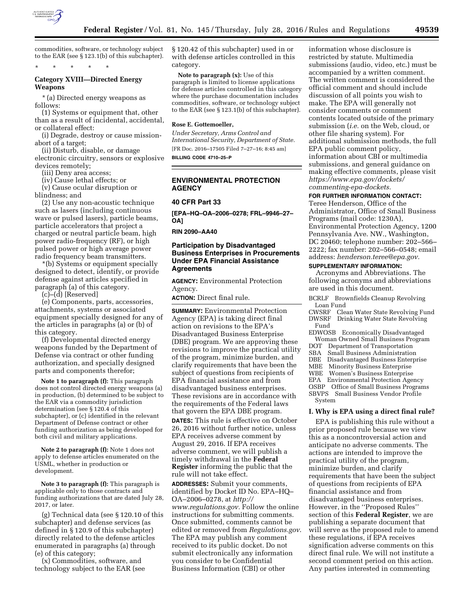

commodities, software, or technology subject to the EAR (see § 123.1(b) of this subchapter).

# **Category XVIII—Directed Energy Weapons**

\* \* \* \* \*

\* (a) Directed energy weapons as follows:

(1) Systems or equipment that, other than as a result of incidental, accidental, or collateral effect:

(i) Degrade, destroy or cause missionabort of a target;

(ii) Disturb, disable, or damage

electronic circuitry, sensors or explosive devices remotely;

(iii) Deny area access;

(iv) Cause lethal effects; or (v) Cause ocular disruption or

blindness; and

(2) Use any non-acoustic technique such as lasers (including continuous wave or pulsed lasers), particle beams, particle accelerators that project a charged or neutral particle beam, high power radio-frequency (RF), or high pulsed power or high average power radio frequency beam transmitters.

\*(b) Systems or equipment specially designed to detect, identify, or provide defense against articles specified in paragraph (a) of this category.

(c)–(d) [Reserved]

(e) Components, parts, accessories, attachments, systems or associated equipment specially designed for any of the articles in paragraphs (a) or (b) of this category.

(f) Developmental directed energy weapons funded by the Department of Defense via contract or other funding authorization, and specially designed parts and components therefor;

**Note 1 to paragraph (f):** This paragraph does not control directed energy weapons (a) in production, (b) determined to be subject to the EAR via a commodity jurisdiction determination (see § 120.4 of this subchapter), or (c) identified in the relevant Department of Defense contract or other funding authorization as being developed for both civil and military applications.

**Note 2 to paragraph (f):** Note 1 does not apply to defense articles enumerated on the USML, whether in production or development.

**Note 3 to paragraph (f):** This paragraph is applicable only to those contracts and funding authorizations that are dated July 28, 2017, or later.

(g) Technical data (see § 120.10 of this subchapter) and defense services (as defined in § 120.9 of this subchapter) directly related to the defense articles enumerated in paragraphs (a) through (e) of this category;

(x) Commodities, software, and technology subject to the EAR (see § 120.42 of this subchapter) used in or with defense articles controlled in this category.

**Note to paragraph (x):** Use of this paragraph is limited to license applications for defense articles controlled in this category where the purchase documentation includes commodities, software, or technology subject to the EAR (see § 123.1(b) of this subchapter).

#### **Rose E. Gottemoeller,**

*Under Secretary, Arms Control and International Security, Department of State.*  [FR Doc. 2016–17505 Filed 7–27–16; 8:45 am]

**BILLING CODE 4710–25–P** 

## **ENVIRONMENTAL PROTECTION AGENCY**

## **40 CFR Part 33**

**[EPA–HQ–OA–2006–0278; FRL–9946–27– OA]** 

**RIN 2090–AA40** 

## **Participation by Disadvantaged Business Enterprises in Procurements Under EPA Financial Assistance Agreements**

**AGENCY:** Environmental Protection Agency.

**ACTION:** Direct final rule.

**SUMMARY:** Environmental Protection Agency (EPA) is taking direct final action on revisions to the EPA's Disadvantaged Business Enterprise (DBE) program. We are approving these revisions to improve the practical utility of the program, minimize burden, and clarify requirements that have been the subject of questions from recipients of EPA financial assistance and from disadvantaged business enterprises. These revisions are in accordance with the requirements of the Federal laws that govern the EPA DBE program.

**DATES:** This rule is effective on October 26, 2016 without further notice, unless EPA receives adverse comment by August 29, 2016. If EPA receives adverse comment, we will publish a timely withdrawal in the **Federal Register** informing the public that the rule will not take effect.

**ADDRESSES:** Submit your comments, identified by Docket ID No. EPA–HQ– OA–2006–0278, at *[http://](http://www.regulations.gov) [www.regulations.gov.](http://www.regulations.gov)* Follow the online instructions for submitting comments. Once submitted, comments cannot be edited or removed from *Regulations.gov*. The EPA may publish any comment received to its public docket. Do not submit electronically any information you consider to be Confidential Business Information (CBI) or other

information whose disclosure is restricted by statute. Multimedia submissions (audio, video, etc.) must be accompanied by a written comment. The written comment is considered the official comment and should include discussion of all points you wish to make. The EPA will generally not consider comments or comment contents located outside of the primary submission (*i.e.* on the Web, cloud, or other file sharing system). For additional submission methods, the full EPA public comment policy, information about CBI or multimedia submissions, and general guidance on making effective comments, please visit *[https://www.epa.gov/dockets/](https://www.epa.gov/dockets/commenting-epa-dockets)  [commenting-epa-dockets.](https://www.epa.gov/dockets/commenting-epa-dockets)* 

## **FOR FURTHER INFORMATION CONTACT:**

Teree Henderson, Office of the Administrator, Office of Small Business Programs (mail code: 1230A), Environmental Protection Agency, 1200 Pennsylvania Ave. NW., Washington, DC 20460; telephone number: 202–566– 2222; fax number: 202–566–0548; email address: *[henderson.teree@epa.gov.](mailto:henderson.teree@epa.gov)* 

## **SUPPLEMENTARY INFORMATION:**

Acronyms and Abbreviations. The following acronyms and abbreviations are used in this document.

- BCRLF Brownfields Cleanup Revolving Loan Fund
- CWSRF Clean Water State Revolving Fund DWSRF Drinking Water State Revolving Fund
- EDWOSB Economically Disadvantaged Woman Owned Small Business Program
- DOT Department of Transportation
- SBA Small Business Administration
- Disadvantaged Business Enterprise
- MBE Minority Business Enterprise
- Women's Business Enterprise
- EPA Environmental Protection Agency OSBP Office of Small Business Programs
- SBVPS Small Business Vendor Profile System

### **I. Why is EPA using a direct final rule?**

EPA is publishing this rule without a prior proposed rule because we view this as a noncontroversial action and anticipate no adverse comments. The actions are intended to improve the practical utility of the program, minimize burden, and clarify requirements that have been the subject of questions from recipients of EPA financial assistance and from disadvantaged business enterprises. However, in the ''Proposed Rules'' section of this **Federal Register**, we are publishing a separate document that will serve as the proposed rule to amend these regulations, if EPA receives signification adverse comments on this direct final rule. We will not institute a second comment period on this action. Any parties interested in commenting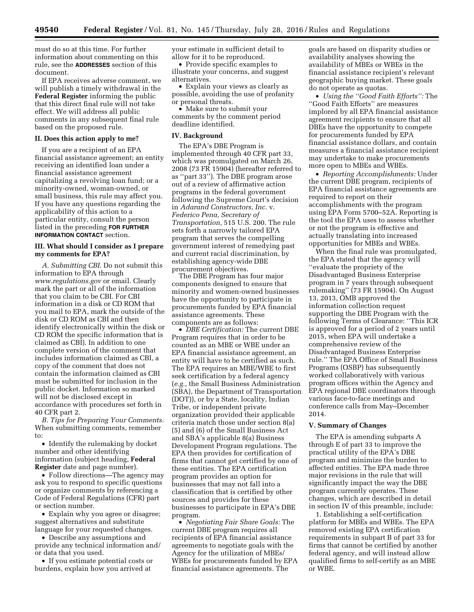must do so at this time. For further information about commenting on this rule, see the **ADDRESSES** section of this document.

If EPA receives adverse comment, we will publish a timely withdrawal in the **Federal Register** informing the public that this direct final rule will not take effect. We will address all public comments in any subsequent final rule based on the proposed rule.

#### **II. Does this action apply to me?**

If you are a recipient of an EPA financial assistance agreement; an entity receiving an identified loan under a financial assistance agreement capitalizing a revolving loan fund; or a minority-owned, woman-owned, or small business, this rule may affect you. If you have any questions regarding the applicability of this action to a particular entity, consult the person listed in the preceding **FOR FURTHER INFORMATION CONTACT** section.

## **III. What should I consider as I prepare my comments for EPA?**

*A. Submitting CBI.* Do not submit this information to EPA through *[www.regulations.gov](http://www.regulations.gov)* or email. Clearly mark the part or all of the information that you claim to be CBI. For CBI information in a disk or CD ROM that you mail to EPA, mark the outside of the disk or CD ROM as CBI and then identify electronically within the disk or CD ROM the specific information that is claimed as CBI). In addition to one complete version of the comment that includes information claimed as CBI, a copy of the comment that does not contain the information claimed as CBI must be submitted for inclusion in the public docket. Information so marked will not be disclosed except in accordance with procedures set forth in 40 CFR part 2.

*B. Tips for Preparing Your Comments.*  When submitting comments, remember to:

• Identify the rulemaking by docket number and other identifying information (subject heading, **Federal Register** date and page number).

• Follow directions—The agency may ask you to respond to specific questions or organize comments by referencing a Code of Federal Regulations (CFR) part or section number.

• Explain why you agree or disagree; suggest alternatives and substitute language for your requested changes.

• Describe any assumptions and provide any technical information and/ or data that you used.

• If you estimate potential costs or burdens, explain how you arrived at

your estimate in sufficient detail to allow for it to be reproduced.

• Provide specific examples to illustrate your concerns, and suggest alternatives.

• Explain your views as clearly as possible, avoiding the use of profanity or personal threats.

• Make sure to submit your comments by the comment period deadline identified.

#### **IV. Background**

The EPA's DBE Program is implemented through 40 CFR part 33, which was promulgated on March 26, 2008 (73 FR 15904) (hereafter referred to as ''part 33''). The DBE program arose out of a review of affirmative action programs in the federal government following the Supreme Court's decision in *Adarand Constructors, Inc.* v. *Federico Pena, Secretary of Transportation,* 515 U.S. 200. The rule sets forth a narrowly tailored EPA program that serves the compelling government interest of remedying past and current racial discrimination, by establishing agency-wide DBE procurement objectives.

The DBE Program has four major components designed to ensure that minority and women-owned businesses have the opportunity to participate in procurements funded by EPA financial assistance agreements. These components are as follows:

• *DBE Certification:* The current DBE Program requires that in order to be counted as an MBE or WBE under an EPA financial assistance agreement, an entity will have to be certified as such. The EPA requires an MBE/WBE to first seek certification by a federal agency (*e.g.,* the Small Business Administration (SBA), the Department of Transportation (DOT)), or by a State, locality, Indian Tribe, or independent private organization provided their applicable criteria match those under section 8(a) (5) and (6) of the Small Business Act and SBA's applicable 8(a) Business Development Program regulations. The EPA then provides for certification of firms that cannot get certified by one of these entities. The EPA certification program provides an option for businesses that may not fall into a classification that is certified by other sources and provides for these businesses to participate in EPA's DBE program.

• *Negotiating Fair Share Goals:* The current DBE program requires all recipients of EPA financial assistance agreements to negotiate goals with the Agency for the utilization of MBEs/ WBEs for procurements funded by EPA financial assistance agreements. The

goals are based on disparity studies or availability analyses showing the availability of MBEs or WBEs in the financial assistance recipient's relevant geographic buying market. These goals do not operate as quotas.

• *Using the ''Good Faith Efforts'':* The ''Good Faith Efforts'' are measures implored by all EPA financial assistance agreement recipients to ensure that all DBEs have the opportunity to compete for procurements funded by EPA financial assistance dollars, and contain measures a financial assistance recipient may undertake to make procurements more open to MBEs and WBEs.

• *Reporting Accomplishments:* Under the current DBE program, recipients of EPA financial assistance agreements are required to report on their accomplishments with the program using EPA Form 5700–52A. Reporting is the tool the EPA uses to assess whether or not the program is effective and actually translating into increased opportunities for MBEs and WBEs.

When the final rule was promulgated, the EPA stated that the agency will ''evaluate the propriety of the Disadvantaged Business Enterprise program in 7 years through subsequent rulemaking'' (73 FR 15904). On August 13, 2013, OMB approved the information collection request supporting the DBE Program with the following Terms of Clearance: ''This ICR is approved for a period of 2 years until 2015, when EPA will undertake a comprehensive review of the Disadvantaged Business Enterprise rule.'' The EPA Office of Small Business Programs (OSBP) has subsequently worked collaboratively with various program offices within the Agency and EPA regional DBE coordinators through various face-to-face meetings and conference calls from May–December 2014.

#### **V. Summary of Changes**

The EPA is amending subparts A through E of part 33 to improve the practical utility of the EPA's DBE program and minimize the burden to affected entities. The EPA made three major revisions in the rule that will significantly impact the way the DBE program currently operates. These changes, which are described in detail in section IV of this preamble, include:

1. Establishing a self-certification platform for MBEs and WBEs. The EPA removed existing EPA certification requirements in subpart B of part 33 for firms that cannot be certified by another federal agency, and will instead allow qualified firms to self-certify as an MBE or WBE.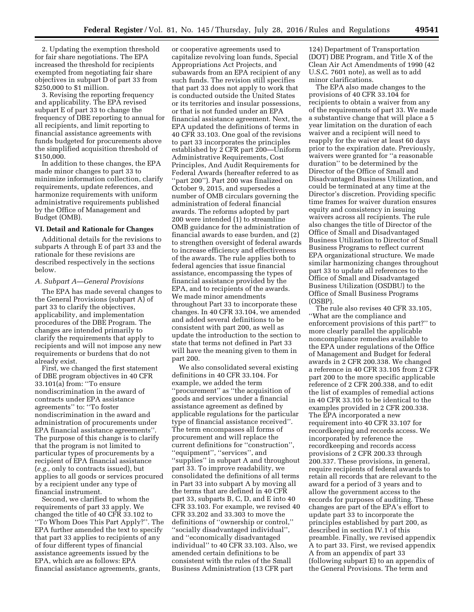2. Updating the exemption threshold for fair share negotiations. The EPA increased the threshold for recipients exempted from negotiating fair share objectives in subpart D of part 33 from \$250,000 to \$1 million.

3. Revising the reporting frequency and applicability. The EPA revised subpart E of part 33 to change the frequency of DBE reporting to annual for all recipients, and limit reporting to financial assistance agreements with funds budgeted for procurements above the simplified acquisition threshold of \$150,000.

In addition to these changes, the EPA made minor changes to part 33 to minimize information collection, clarify requirements, update references, and harmonize requirements with uniform administrative requirements published by the Office of Management and Budget (OMB).

### **VI. Detail and Rationale for Changes**

Additional details for the revisions to subparts A through E of part 33 and the rationale for these revisions are described respectively in the sections below.

### *A. Subpart A—General Provisions*

The EPA has made several changes to the General Provisions (subpart A) of part 33 to clarify the objectives, applicability, and implementation procedures of the DBE Program. The changes are intended primarily to clarify the requirements that apply to recipients and will not impose any new requirements or burdens that do not already exist.

First, we changed the first statement of DBE program objectives in 40 CFR 33.101(a) from: ''To ensure nondiscrimination in the award of contracts under EPA assistance agreements'' to: ''To foster nondiscrimination in the award and administration of procurements under EPA financial assistance agreements''. The purpose of this change is to clarify that the program is not limited to particular types of procurements by a recipient of EPA financial assistance (*e.g.,* only to contracts issued), but applies to all goods or services procured by a recipient under any type of financial instrument.

Second, we clarified to whom the requirements of part 33 apply. We changed the title of 40 CFR 33.102 to ''To Whom Does This Part Apply?''. The EPA further amended the text to specify that part 33 applies to recipients of any of four different types of financial assistance agreements issued by the EPA, which are as follows: EPA financial assistance agreements, grants,

or cooperative agreements used to capitalize revolving loan funds, Special Appropriations Act Projects, and subawards from an EPA recipient of any such funds. The revision still specifies that part 33 does not apply to work that is conducted outside the United States or its territories and insular possessions, or that is not funded under an EPA financial assistance agreement. Next, the EPA updated the definitions of terms in 40 CFR 33.103. One goal of the revisions to part 33 incorporates the principles established by 2 CFR part 200—Uniform Administrative Requirements, Cost Principles, And Audit Requirements for Federal Awards (hereafter referred to as ''part 200''). Part 200 was finalized on October 9, 2015, and supersedes a number of OMB circulars governing the administration of federal financial awards. The reforms adopted by part 200 were intended (1) to streamline OMB guidance for the administration of financial awards to ease burden, and (2) to strengthen oversight of federal awards to increase efficiency and effectiveness of the awards. The rule applies both to federal agencies that issue financial assistance, encompassing the types of financial assistance provided by the EPA, and to recipients of the awards. We made minor amendments throughout Part 33 to incorporate these changes. In 40 CFR 33.104, we amended and added several definitions to be consistent with part 200, as well as update the introduction to the section to state that terms not defined in Part 33 will have the meaning given to them in part 200.

We also consolidated several existing definitions in 40 CFR 33.104. For example, we added the term ''procurement'' as ''the acquisition of goods and services under a financial assistance agreement as defined by applicable regulations for the particular type of financial assistance received''. The term encompasses all forms of procurement and will replace the current definitions for ''construction'', ''equipment'', ''services'', and ''supplies'' in subpart A and throughout part 33. To improve readability, we consolidated the definitions of all terms in Part 33 into subpart A by moving all the terms that are defined in 40 CFR part 33, subparts B, C, D, and E into 40 CFR 33.103. For example, we revised 40 CFR 33.202 and 33.303 to move the definitions of ''ownership or control,'' ''socially disadvantaged individual'', and ''economically disadvantaged individual'' to 40 CFR 33.103. Also, we amended certain definitions to be consistent with the rules of the Small Business Administration (13 CFR part

124) Department of Transportation (DOT) DBE Program, and Title X of the Clean Air Act Amendments of 1990 (42 U.S.C. 7601 note), as well as to add minor clarifications.

The EPA also made changes to the provisions of 40 CFR 33.104 for recipients to obtain a waiver from any of the requirements of part 33. We made a substantive change that will place a 5 year limitation on the duration of each waiver and a recipient will need to reapply for the waiver at least 60 days prior to the expiration date. Previously, waivers were granted for ''a reasonable duration'' to be determined by the Director of the Office of Small and Disadvantaged Business Utilization, and could be terminated at any time at the Director's discretion. Providing specific time frames for waiver duration ensures equity and consistency in issuing waivers across all recipients. The rule also changes the title of Director of the Office of Small and Disadvantaged Business Utilization to Director of Small Business Programs to reflect current EPA organizational structure. We made similar harmonizing changes throughout part 33 to update all references to the Office of Small and Disadvantaged Business Utilization (OSDBU) to the Office of Small Business Programs (OSBP).

The rule also revises 40 CFR 33.105, ''What are the compliance and enforcement provisions of this part?'' to more clearly parallel the applicable noncompliance remedies available to the EPA under regulations of the Office of Management and Budget for federal awards in 2 CFR 200.338. We changed a reference in 40 CFR 33.105 from 2 CFR part 200 to the more specific applicable reference of 2 CFR 200.338, and to edit the list of examples of remedial actions in 40 CFR 33.105 to be identical to the examples provided in 2 CFR 200.338. The EPA incorporated a new requirement into 40 CFR 33.107 for recordkeeping and records access. We incorporated by reference the recordkeeping and records access provisions of 2 CFR 200.33 through 200.337. These provisions, in general, require recipients of federal awards to retain all records that are relevant to the award for a period of 3 years and to allow the government access to the records for purposes of auditing. These changes are part of the EPA's effort to update part 33 to incorporate the principles established by part 200, as described in section IV.1 of this preamble. Finally, we revised appendix A to part 33. First, we revised appendix A from an appendix of part 33 (following subpart E) to an appendix of the General Provisions. The term and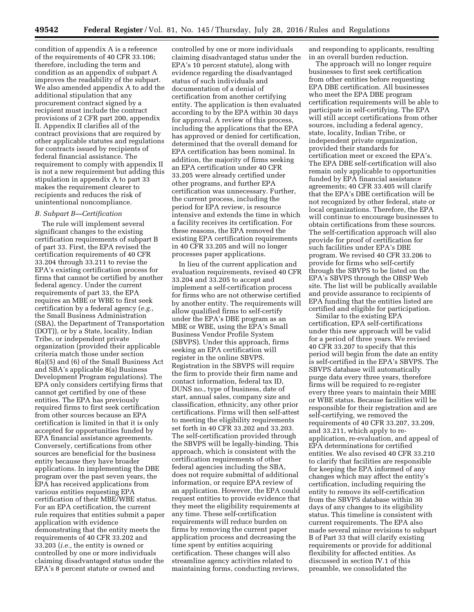condition of appendix A is a reference of the requirements of 40 CFR 33.106; therefore, including the term and condition as an appendix of subpart A improves the readability of the subpart. We also amended appendix A to add the additional stipulation that any procurement contract signed by a recipient must include the contract provisions of 2 CFR part 200, appendix II. Appendix II clarifies all of the contract provisions that are required by other applicable statutes and regulations for contracts issued by recipients of federal financial assistance. The requirement to comply with appendix II is not a new requirement but adding this stipulation in appendix A to part 33 makes the requirement clearer to recipients and reduces the risk of unintentional noncompliance.

#### *B. Subpart B—Certification*

The rule will implement several significant changes to the existing certification requirements of subpart B of part 33. First, the EPA revised the certification requirements of 40 CFR 33.204 through 33.211 to revise the EPA's existing certification process for firms that cannot be certified by another federal agency. Under the current requirements of part 33, the EPA requires an MBE or WBE to first seek certification by a federal agency (*e.g.,*  the Small Business Administration (SBA), the Department of Transportation (DOT)), or by a State, locality, Indian Tribe, or independent private organization (provided their applicable criteria match those under section 8(a)(5) and (6) of the Small Business Act and SBA's applicable 8(a) Business Development Program regulations). The EPA only considers certifying firms that cannot get certified by one of these entities. The EPA has previously required firms to first seek certification from other sources because an EPA certification is limited in that it is only accepted for opportunities funded by EPA financial assistance agreements. Conversely, certifications from other sources are beneficial for the business entity because they have broader applications. In implementing the DBE program over the past seven years, the EPA has received applications from various entities requesting EPA certification of their MBE/WBE status. For an EPA certification, the current rule requires that entities submit a paper application with evidence demonstrating that the entity meets the requirements of 40 CFR 33.202 and 33.203 (*i.e.,* the entity is owned or controlled by one or more individuals claiming disadvantaged status under the EPA's 8 percent statute or owned and

controlled by one or more individuals claiming disadvantaged status under the EPA's 10 percent statute), along with evidence regarding the disadvantaged status of such individuals and documentation of a denial of certification from another certifying entity. The application is then evaluated according to by the EPA within 30 days for approval. A review of this process, including the applications that the EPA has approved or denied for certification, determined that the overall demand for EPA certification has been nominal. In addition, the majority of firms seeking an EPA certification under 40 CFR 33.205 were already certified under other programs, and further EPA certification was unnecessary. Further, the current process, including the period for EPA review, is resource intensive and extends the time in which a facility receives its certification. For these reasons, the EPA removed the existing EPA certification requirements in 40 CFR 33.205 and will no longer processes paper applications.

In lieu of the current application and evaluation requirements, revised 40 CFR 33.204 and 33.205 to accept and implement a self-certification process for firms who are not otherwise certified by another entity. The requirements will allow qualified firms to self-certify under the EPA's DBE program as an MBE or WBE, using the EPA's Small Business Vendor Profile System (SBVPS). Under this approach, firms seeking an EPA certification will register in the online SBVPS. Registration in the SBVPS will require the firm to provide their firm name and contact information, federal tax ID, DUNS no., type of business, date of start, annual sales, company size and classification, ethnicity, any other prior certifications. Firms will then self-attest to meeting the eligibility requirements set forth in 40 CFR 33.202 and 33.203. The self-certification provided through the SBVPS will be legally-binding. This approach, which is consistent with the certification requirements of other federal agencies including the SBA, does not require submittal of additional information, or require EPA review of an application. However, the EPA could request entities to provide evidence that they meet the eligibility requirements at any time. These self-certification requirements will reduce burden on firms by removing the current paper application process and decreasing the time spent by entities acquiring certification. These changes will also streamline agency activities related to maintaining forms, conducting reviews,

and responding to applicants, resulting in an overall burden reduction.

The approach will no longer require businesses to first seek certification from other entities before requesting EPA DBE certification. All businesses who meet the EPA DBE program certification requirements will be able to participate in self-certifying. The EPA will still accept certifications from other sources, including a federal agency, state, locality, Indian Tribe, or independent private organization, provided their standards for certification meet or exceed the EPA's. The EPA DBE self-certification will also remain only applicable to opportunities funded by EPA financial assistance agreements; 40 CFR 33.405 will clarify that the EPA's DBE certification will be not recognized by other federal, state or local organizations. Therefore, the EPA will continue to encourage businesses to obtain certifications from these sources. The self-certification approach will also provide for proof of certification for such facilities under EPA's DBE program. We revised 40 CFR 33.206 to provide for firms who self-certify through the SBVPS to be listed on the EPA's SBVPS through the OBSP Web site. The list will be publically available and provide assurance to recipients of EPA funding that the entities listed are certified and eligible for participation.

Similar to the existing EPA certification, EPA self-certifications under this new approach will be valid for a period of three years. We revised 40 CFR 33.207 to specify that this period will begin from the date an entity is self-certified in the EPA's SBVPS. The SBVPS database will automatically purge data every three years, therefore firms will be required to re-register every three years to maintain their MBE or WBE status. Because facilities will be responsible for their registration and are self-certifying, we removed the requirements of 40 CFR 33.207, 33.209, and 33.211, which apply to reapplication, re-evaluation, and appeal of EPA determinations for certified entities. We also revised 40 CFR 33.210 to clarify that facilities are responsible for keeping the EPA informed of any changes which may affect the entity's certification, including requiring the entity to remove its self-certification from the SBVPS database within 30 days of any changes to its eligibility status. This timeline is consistent with current requirements. The EPA also made several minor revisions to subpart B of Part 33 that will clarify existing requirements or provide for additional flexibility for affected entities. As discussed in section IV.1 of this preamble, we consolidated the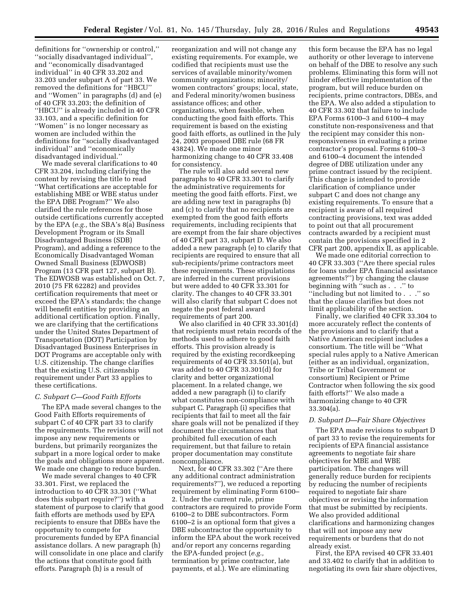definitions for ''ownership or control,'' ''socially disadvantaged individual'', and ''economically disadvantaged individual'' in 40 CFR 33.202 and 33.203 under subpart A of part 33. We removed the definitions for ''HBCU'' and ''Women'' in paragraphs (d) and (e) of 40 CFR 33.203; the definition of ''HBCU'' is already included in 40 CFR 33.103, and a specific definition for ''Women'' is no longer necessary as women are included within the definitions for ''socially disadvantaged individual'' and ''economically disadvantaged individual.''

We made several clarifications to 40 CFR 33.204, including clarifying the content by revising the title to read ''What certifications are acceptable for establishing MBE or WBE status under the EPA DBE Program?'' We also clarified the rule references for those outside certifications currently accepted by the EPA (*e.g.,* the SBA's 8(a) Business Development Program or its Small Disadvantaged Business (SDB) Program), and adding a reference to the Economically Disadvantaged Woman Owned Small Business (EDWOSB) Program (13 CFR part 127, subpart B). The EDWOSB was established on Oct. 7, 2010 (75 FR 62282) and provides certification requirements that meet or exceed the EPA's standards; the change will benefit entities by providing an additional certification option. Finally, we are clarifying that the certifications under the United States Department of Transportation (DOT) Participation by Disadvantaged Business Enterprises in DOT Programs are acceptable only with U.S. citizenship. The change clarifies that the existing U.S. citizenship requirement under Part 33 applies to these certifications.

#### *C. Subpart C—Good Faith Efforts*

The EPA made several changes to the Good Faith Efforts requirements of subpart C of 40 CFR part 33 to clarify the requirements. The revisions will not impose any new requirements or burdens, but primarily reorganizes the subpart in a more logical order to make the goals and obligations more apparent. We made one change to reduce burden.

We made several changes to 40 CFR 33.301. First, we replaced the introduction to 40 CFR 33.301 (''What does this subpart require?'') with a statement of purpose to clarify that good faith efforts are methods used by EPA recipients to ensure that DBEs have the opportunity to compete for procurements funded by EPA financial assistance dollars. A new paragraph (h) will consolidate in one place and clarify the actions that constitute good faith efforts. Paragraph (h) is a result of

reorganization and will not change any existing requirements. For example, we codified that recipients must use the services of available minority/women community organizations; minority/ women contractors' groups; local, state, and Federal minority/women business assistance offices; and other organizations, when feasible, when conducting the good faith efforts. This requirement is based on the existing good faith efforts, as outlined in the July 24, 2003 proposed DBE rule (68 FR 43824). We made one minor harmonizing change to 40 CFR 33.408 for consistency.

The rule will also add several new paragraphs to 40 CFR 33.301 to clarify the administrative requirements for meeting the good faith efforts. First, we are adding new text in paragraphs (b) and (c) to clarify that no recipients are exempted from the good faith efforts requirements, including recipients that are exempt from the fair share objectives of 40 CFR part 33, subpart D. We also added a new paragraph (e) to clarify that recipients are required to ensure that all sub-recipients/prime contractors meet these requirements. These stipulations are inferred in the current provisions but were added to 40 CFR 33.301 for clarity. The changes to 40 CFR 33.301 will also clarify that subpart C does not negate the post federal award requirements of part 200.

We also clarified in 40 CFR 33.301(d) that recipients must retain records of the methods used to adhere to good faith efforts. This provision already is required by the existing recordkeeping requirements of 40 CFR 33.501(a), but was added to 40 CFR 33.301(d) for clarity and better organizational placement. In a related change, we added a new paragraph (i) to clarify what constitutes non-compliance with subpart C. Paragraph (i) specifies that recipients that fail to meet all the fair share goals will not be penalized if they document the circumstances that prohibited full execution of each requirement, but that failure to retain proper documentation may constitute noncompliance.

Next, for 40 CFR 33.302 (''Are there any additional contract administration requirements?''), we reduced a reporting requirement by eliminating Form 6100– 2. Under the current rule, prime contractors are required to provide Form 6100–2 to DBE subcontractors. Form 6100–2 is an optional form that gives a DBE subcontractor the opportunity to inform the EPA about the work received and/or report any concerns regarding the EPA-funded project (*e.g.,*  termination by prime contractor, late payments, et al.). We are eliminating

this form because the EPA has no legal authority or other leverage to intervene on behalf of the DBE to resolve any such problems. Eliminating this form will not hinder effective implementation of the program, but will reduce burden on recipients, prime contractors, DBEs, and the EPA. We also added a stipulation to 40 CFR 33.302 that failure to include EPA Forms 6100–3 and 6100–4 may constitute non-responsiveness and that the recipient may consider this nonresponsiveness in evaluating a prime contractor's proposal. Forms 6100–3 and 6100–4 document the intended degree of DBE utilization under any prime contract issued by the recipient. This change is intended to provide clarification of compliance under subpart C and does not change any existing requirements. To ensure that a recipient is aware of all required contracting provisions, text was added to point out that all procurement contracts awarded by a recipient must contain the provisions specified in 2 CFR part 200, appendix II, as applicable.

We made one editorial correction to 40 CFR 33.303 (''Are there special rules for loans under EPA financial assistance agreements?'') by changing the clause beginning with ''such as . . .'' to ''including but not limited to . . .'' so that the clause clarifies but does not limit applicability of the section.

Finally, we clarified 40 CFR 33.304 to more accurately reflect the contents of the provisions and to clarify that a Native American recipient includes a consortium. The title will be ''What special rules apply to a Native American (either as an individual, organization, Tribe or Tribal Government or consortium) Recipient or Prime Contractor when following the six good faith efforts?'' We also made a harmonizing change to 40 CFR 33.304(a).

### *D. Subpart D—Fair Share Objectives*

The EPA made revisions to subpart D of part 33 to revise the requirements for recipients of EPA financial assistance agreements to negotiate fair share objectives for MBE and WBE participation. The changes will generally reduce burden for recipients by reducing the number of recipients required to negotiate fair share objectives or revising the information that must be submitted by recipients. We also provided additional clarifications and harmonizing changes that will not impose any new requirements or burdens that do not already exist.

First, the EPA revised 40 CFR 33.401 and 33.402 to clarify that in addition to negotiating its own fair share objectives,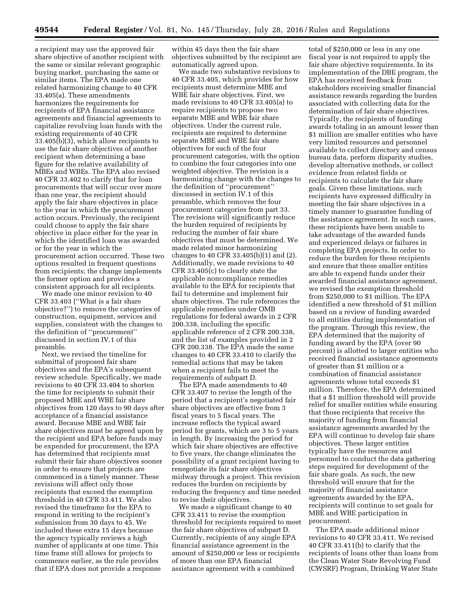a recipient may use the approved fair share objective of another recipient with the same or similar relevant geographic buying market, purchasing the same or similar items. The EPA made one related harmonizing change to 40 CFR 33.405(a). These amendments harmonizes the requirements for recipients of EPA financial assistance agreements and financial agreements to capitalize revolving loan funds with the existing requirements of 40 CFR 33.405(b)(3), which allow recipients to use the fair share objectives of another recipient when determining a base figure for the relative availability of MBEs and WBEs. The EPA also revised 40 CFR 33.402 to clarify that for loan procurements that will occur over more than one year, the recipient should apply the fair share objectives in place to the year in which the procurement action occurs. Previously, the recipient could choose to apply the fair share objective in place either for the year in which the identified loan was awarded or for the year in which the procurement action occurred. These two options resulted in frequent questions from recipients; the change implements the former option and provides a consistent approach for all recipients.

We made one minor revision to 40 CFR 33.403 (''What is a fair share objective?'') to remove the categories of construction, equipment, services and supplies, consistent with the changes to the definition of ''procurement'' discussed in section IV.1 of this preamble.

Next, we revised the timeline for submittal of proposed fair share objectives and the EPA's subsequent review schedule. Specifically, we made revisions to 40 CFR 33.404 to shorten the time for recipients to submit their proposed MBE and WBE fair share objectives from 120 days to 90 days after acceptance of a financial assistance award. Because MBE and WBE fair share objectives must be agreed upon by the recipient and EPA before funds may be expended for procurement, the EPA has determined that recipients must submit their fair share objectives sooner in order to ensure that projects are commenced in a timely manner. These revisions will affect only those recipients that exceed the exemption threshold in 40 CFR 33.411. We also revised the timeframe for the EPA to respond in writing to the recipient's submission from 30 days to 45. We included these extra 15 days because the agency typically reviews a high number of applicants at one time. This time frame still allows for projects to commence earlier, as the rule provides that if EPA does not provide a response

within 45 days then the fair share objectives submitted by the recipient are automatically agreed upon.

We made two substantive revisions to 40 CFR 33.405, which provides for how recipients must determine MBE and WBE fair share objectives. First, we made revisions to 40 CFR 33.405(a) to require recipients to propose two separate MBE and WBE fair share objectives. Under the current rule, recipients are required to determine separate MBE and WBE fair share objectives for each of the four procurement categories, with the option to combine the four categories into one weighted objective. The revision is a harmonizing change with the changes to the definition of ''procurement'' discussed in section IV.1 of this preamble, which removes the four procurement categories from part 33. The revisions will significantly reduce the burden required of recipients by reducing the number of fair share objectives that must be determined. We made related minor harmonizing changes to 40 CFR 33.405(b)(1) and (2). Additionally, we made revisions to 40 CFR 33.405(c) to clearly state the applicable noncompliance remedies available to the EPA for recipients that fail to determine and implement fair share objectives. The rule references the applicable remedies under OMB regulations for federal awards in 2 CFR 200.338, including the specific applicable reference of 2 CFR 200.338, and the list of examples provided in 2 CFR 200.338. The EPA made the same changes to 40 CFR 33.410 to clarify the remedial actions that may be taken when a recipient fails to meet the requirements of subpart D.

The EPA made amendments to 40 CFR 33.407 to revise the length of the period that a recipient's negotiated fair share objectives are effective from 3 fiscal years to 5 fiscal years. The increase reflects the typical award period for grants, which are 3 to 5 years in length. By increasing the period for which fair share objectives are effective to five years, the change eliminates the possibility of a grant recipient having to renegotiate its fair share objectives midway through a project. This revision reduces the burden on recipients by reducing the frequency and time needed to revise their objectives.

We made a significant change to 40 CFR 33.411 to revise the exemption threshold for recipients required to meet the fair share objectives of subpart D. Currently, recipients of any single EPA financial assistance agreement in the amount of \$250,000 or less or recipients of more than one EPA financial assistance agreement with a combined

total of \$250,000 or less in any one fiscal year is not required to apply the fair share objective requirements. In its implementation of the DBE program, the EPA has received feedback from stakeholders receiving smaller financial assistance rewards regarding the burden associated with collecting data for the determination of fair share objectives. Typically, the recipients of funding awards totaling in an amount lesser than \$1 million are smaller entities who have very limited resources and personnel available to collect directory and census bureau data, perform disparity studies, develop alternative methods, or collect evidence from related fields or recipients to calculate the fair share goals. Given these limitations, such recipients have expressed difficulty in meeting the fair share objectives in a timely manner to guarantee funding of the assistance agreement. In such cases, these recipients have been unable to take advantage of the awarded funds and experienced delays or failures in completing EPA projects. In order to reduce the burden for these recipients and ensure that these smaller entities are able to expend funds under their awarded financial assistance agreement, we revised the exemption threshold from \$250,000 to \$1 million. The EPA identified a new threshold of \$1 million based on a review of funding awarded to all entities during implementation of the program. Through this review, the EPA determined that the majority of funding award by the EPA (over 90 percent) is allotted to larger entities who received financial assistance agreements of greater than \$1 million or a combination of financial assistance agreements whose total exceeds \$1 million. Therefore, the EPA determined that a \$1 million threshold will provide relief for smaller entities while ensuring that those recipients that receive the majority of funding from financial assistance agreements awarded by the EPA will continue to develop fair share objectives. These larger entities typically have the resources and personnel to conduct the data gathering steps required for development of the fair share goals. As such, the new threshold will ensure that for the majority of financial assistance agreements awarded by the EPA, recipients will continue to set goals for MBE and WBE participation in procurement.

The EPA made additional minor revisions to 40 CFR 33.411. We revised 40 CFR 33.411(b) to clarify that the recipients of loans other than loans from the Clean Water State Revolving Fund (CWSRF) Program, Drinking Water State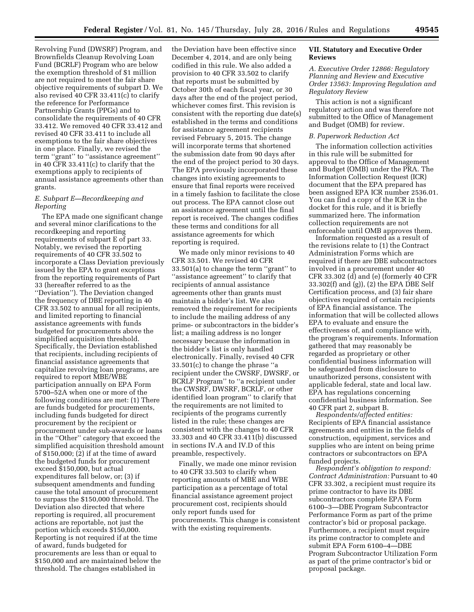Revolving Fund (DWSRF) Program, and Brownfields Cleanup Revolving Loan Fund (BCRLF) Program who are below the exemption threshold of \$1 million are not required to meet the fair share objective requirements of subpart D. We also revised 40 CFR 33.411(c) to clarify the reference for Performance Partnership Grants (PPGs) and to consolidate the requirements of 40 CFR 33.412. We removed 40 CFR 33.412 and revised 40 CFR 33.411 to include all exemptions to the fair share objectives in one place. Finally, we revised the term ''grant'' to ''assistance agreement'' in 40 CFR 33.411(c) to clarify that the exemptions apply to recipients of annual assistance agreements other than grants.

## *E. Subpart E—Recordkeeping and Reporting*

The EPA made one significant change and several minor clarifications to the recordkeeping and reporting requirements of subpart E of part 33. Notably, we revised the reporting requirements of 40 CFR 33.502 to incorporate a Class Deviation previously issued by the EPA to grant exceptions from the reporting requirements of Part 33 (hereafter referred to as the ''Deviation''). The Deviation changed the frequency of DBE reporting in 40 CFR 33.502 to annual for all recipients, and limited reporting to financial assistance agreements with funds budgeted for procurements above the simplified acquisition threshold. Specifically, the Deviation established that recipients, including recipients of financial assistance agreements that capitalize revolving loan programs, are required to report MBE/WBE participation annually on EPA Form 5700–52A when one or more of the following conditions are met: (1) There are funds budgeted for procurements, including funds budgeted for direct procurement by the recipient or procurement under sub-awards or loans in the ''Other'' category that exceed the simplified acquisition threshold amount of \$150,000; (2) if at the time of award the budgeted funds for procurement exceed \$150,000, but actual expenditures fall below, or; (3) if subsequent amendments and funding cause the total amount of procurement to surpass the \$150,000 threshold. The Deviation also directed that where reporting is required, all procurement actions are reportable, not just the portion which exceeds \$150,000. Reporting is not required if at the time of award, funds budgeted for procurements are less than or equal to \$150,000 and are maintained below the threshold. The changes established in

the Deviation have been effective since December 4, 2014, and are only being codified in this rule. We also added a provision to 40 CFR 33.502 to clarify that reports must be submitted by October 30th of each fiscal year, or 30 days after the end of the project period, whichever comes first. This revision is consistent with the reporting due date(s) established in the terms and conditions for assistance agreement recipients revised February 5, 2015. The change will incorporate terms that shortened the submission date from 90 days after the end of the project period to 30 days. The EPA previously incorporated these changes into existing agreements to ensure that final reports were received in a timely fashion to facilitate the close out process. The EPA cannot close out an assistance agreement until the final report is received. The changes codifies these terms and conditions for all assistance agreements for which reporting is required.

We made only minor revisions to 40 CFR 33.501. We revised 40 CFR 33.501(a) to change the term ''grant'' to ''assistance agreement'' to clarify that recipients of annual assistance agreements other than grants must maintain a bidder's list. We also removed the requirement for recipients to include the mailing address of any prime- or subcontractors in the bidder's list; a mailing address is no longer necessary because the information in the bidder's list is only handled electronically. Finally, revised 40 CFR 33.501(c) to change the phrase ''a recipient under the CWSRF, DWSRF, or BCRLF Program'' to ''a recipient under the CWSRF, DWSRF, BCRLF, or other identified loan program'' to clarify that the requirements are not limited to recipients of the programs currently listed in the rule; these changes are consistent with the changes to 40 CFR 33.303 and 40 CFR 33.411(b) discussed in sections IV.A and IV.D of this preamble, respectively.

Finally, we made one minor revision to 40 CFR 33.503 to clarify when reporting amounts of MBE and WBE participation as a percentage of total financial assistance agreement project procurement cost, recipients should only report funds used for procurements. This change is consistent with the existing requirements.

#### **VII. Statutory and Executive Order Reviews**

## *A. Executive Order 12866: Regulatory Planning and Review and Executive Order 13563: Improving Regulation and Regulatory Review*

This action is not a significant regulatory action and was therefore not submitted to the Office of Management and Budget (OMB) for review.

## *B. Paperwork Reduction Act*

The information collection activities in this rule will be submitted for approval to the Office of Management and Budget (OMB) under the PRA. The Information Collection Request (ICR) document that the EPA prepared has been assigned EPA ICR number 2536.01. You can find a copy of the ICR in the docket for this rule, and it is briefly summarized here. The information collection requirements are not enforceable until OMB approves them.

Information requested as a result of the revisions relate to (1) the Contract Administration Forms which are required if there are DBE subcontractors involved in a procurement under 40 CFR 33.302 (d) and (e) (formerly 40 CFR 33.302(f) and (g)), (2) the EPA DBE Self Certification process, and (3) fair share objectives required of certain recipients of EPA financial assistance. The information that will be collected allows EPA to evaluate and ensure the effectiveness of, and compliance with, the program's requirements. Information gathered that may reasonably be regarded as proprietary or other confidential business information will be safeguarded from disclosure to unauthorized persons, consistent with applicable federal, state and local law. EPA has regulations concerning confidential business information. See 40 CFR part 2, subpart B.

*Respondents/affected entities:*  Recipients of EPA financial assistance agreements and entities in the fields of construction, equipment, services and supplies who are intent on being prime contractors or subcontractors on EPA funded projects.

*Respondent's obligation to respond: Contract Administration:* Pursuant to 40 CFR 33.302, a recipient must require its prime contractor to have its DBE subcontractors complete EPA Form 6100–3—DBE Program Subcontractor Performance Form as part of the prime contractor's bid or proposal package. Furthermore, a recipient must require its prime contractor to complete and submit EPA Form 6100–4—DBE Program Subcontractor Utilization Form as part of the prime contractor's bid or proposal package.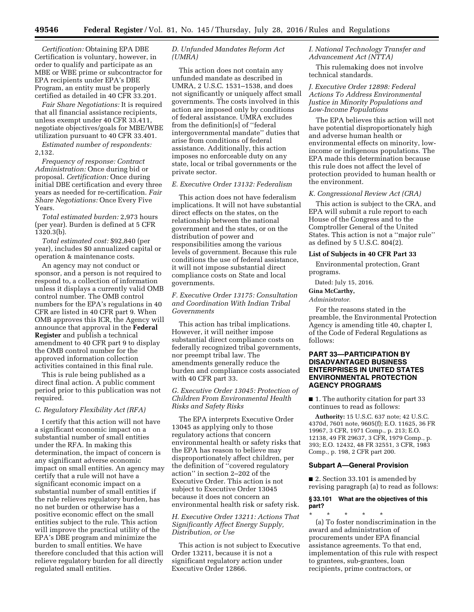*Certification:* Obtaining EPA DBE Certification is voluntary, however, in order to qualify and participate as an MBE or WBE prime or subcontractor for EPA recipients under EPA's DBE Program, an entity must be properly certified as detailed in 40 CFR 33.201.

*Fair Share Negotiations:* It is required that all financial assistance recipients, unless exempt under 40 CFR 33.411, negotiate objectives/goals for MBE/WBE utilization pursuant to 40 CFR 33.401.

*Estimated number of respondents:*  2,132.

*Frequency of response: Contract Administration:* Once during bid or proposal. *Certification:* Once during initial DBE certification and every three years as needed for re-certification. *Fair Share Negotiations:* Once Every Five Years.

*Total estimated burden:* 2,973 hours (per year). Burden is defined at 5 CFR 1320.3(b).

*Total estimated cost:* \$92,840 (per year), includes \$0 annualized capital or operation & maintenance costs.

An agency may not conduct or sponsor, and a person is not required to respond to, a collection of information unless it displays a currently valid OMB control number. The OMB control numbers for the EPA's regulations in 40 CFR are listed in 40 CFR part 9. When OMB approves this ICR, the Agency will announce that approval in the **Federal Register** and publish a technical amendment to 40 CFR part 9 to display the OMB control number for the approved information collection activities contained in this final rule.

This is rule being published as a direct final action. A public comment period prior to this publication was not required.

#### *C. Regulatory Flexibility Act (RFA)*

I certify that this action will not have a significant economic impact on a substantial number of small entities under the RFA. In making this determination, the impact of concern is any significant adverse economic impact on small entities. An agency may certify that a rule will not have a significant economic impact on a substantial number of small entities if the rule relieves regulatory burden, has no net burden or otherwise has a positive economic effect on the small entities subject to the rule. This action will improve the practical utility of the EPA's DBE program and minimize the burden to small entities. We have therefore concluded that this action will relieve regulatory burden for all directly regulated small entities.

## *D. Unfunded Mandates Reform Act (UMRA)*

This action does not contain any unfunded mandate as described in UMRA, 2 U.S.C. 1531–1538, and does not significantly or uniquely affect small governments. The costs involved in this action are imposed only by conditions of federal assistance. UMRA excludes from the definition[s] of ''federal intergovernmental mandate'' duties that arise from conditions of federal assistance. Additionally, this action imposes no enforceable duty on any state, local or tribal governments or the private sector.

## *E. Executive Order 13132: Federalism*

This action does not have federalism implications. It will not have substantial direct effects on the states, on the relationship between the national government and the states, or on the distribution of power and responsibilities among the various levels of government. Because this rule conditions the use of federal assistance, it will not impose substantial direct compliance costs on State and local governments.

### *F. Executive Order 13175: Consultation and Coordination With Indian Tribal Governments*

This action has tribal implications. However, it will neither impose substantial direct compliance costs on federally recognized tribal governments, nor preempt tribal law. The amendments generally reduce the burden and compliance costs associated with 40 CFR part 33.

## *G. Executive Order 13045: Protection of Children From Environmental Health Risks and Safety Risks*

The EPA interprets Executive Order 13045 as applying only to those regulatory actions that concern environmental health or safety risks that the EPA has reason to believe may disproportionately affect children, per the definition of ''covered regulatory action'' in section 2–202 of the Executive Order. This action is not subject to Executive Order 13045 because it does not concern an environmental health risk or safety risk.

## *H. Executive Order 13211: Actions That Significantly Affect Energy Supply, Distribution, or Use*

This action is not subject to Executive Order 13211, because it is not a significant regulatory action under Executive Order 12866.

### *I. National Technology Transfer and Advancement Act (NTTA)*

This rulemaking does not involve technical standards.

## *J. Executive Order 12898: Federal Actions To Address Environmental Justice in Minority Populations and Low-Income Populations*

The EPA believes this action will not have potential disproportionately high and adverse human health or environmental effects on minority, lowincome or indigenous populations. The EPA made this determination because this rule does not affect the level of protection provided to human health or the environment.

#### *K. Congressional Review Act (CRA)*

This action is subject to the CRA, and EPA will submit a rule report to each House of the Congress and to the Comptroller General of the United States. This action is not a ''major rule'' as defined by 5 U.S.C. 804(2).

## **List of Subjects in 40 CFR Part 33**

Environmental protection, Grant programs.

Dated: July 15, 2016.

## **Gina McCarthy,**

*Administrator.* 

For the reasons stated in the preamble, the Environmental Protection Agency is amending title 40, chapter I, of the Code of Federal Regulations as follows:

## **PART 33—PARTICIPATION BY DISADVANTAGED BUSINESS ENTERPRISES IN UNITED STATES ENVIRONMENTAL PROTECTION AGENCY PROGRAMS**

■ 1. The authority citation for part 33 continues to read as follows:

**Authority:** 15 U.S.C. 637 note; 42 U.S.C. 4370d, 7601 note, 9605(f); E.O. 11625, 36 FR 19967, 3 CFR, 1971 Comp., p. 213; E.O. 12138, 49 FR 29637, 3 CFR, 1979 Comp., p. 393; E.O. 12432, 48 FR 32551, 3 CFR, 1983 Comp., p. 198, 2 CFR part 200.

#### **Subpart A—General Provision**

■ 2. Section 33.101 is amended by revising paragraph (a) to read as follows:

#### **§ 33.101 What are the objectives of this part?**

\* \* \* \* \* (a) To foster nondiscrimination in the award and administration of procurements under EPA financial assistance agreements. To that end, implementation of this rule with respect to grantees, sub-grantees, loan recipients, prime contractors, or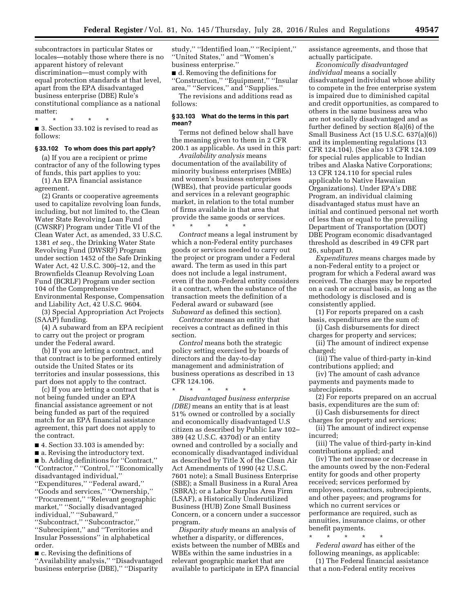subcontractors in particular States or locales—notably those where there is no apparent history of relevant discrimination—must comply with equal protection standards at that level, apart from the EPA disadvantaged business enterprise (DBE) Rule's constitutional compliance as a national matter;

\* \* \* \* \* ■ 3. Section 33.102 is revised to read as follows:

## **§ 33.102 To whom does this part apply?**

(a) If you are a recipient or prime contractor of any of the following types of funds, this part applies to you:

(1) An EPA financial assistance agreement.

(2) Grants or cooperative agreements used to capitalize revolving loan funds, including, but not limited to, the Clean Water State Revolving Loan Fund (CWSRF) Program under Title VI of the Clean Water Act, as amended, 33 U.S.C. 1381 *et seq.,* the Drinking Water State Revolving Fund (DWSRF) Program under section 1452 of the Safe Drinking Water Act, 42 U.S.C. 300j–12, and the Brownfields Cleanup Revolving Loan Fund (BCRLF) Program under section 104 of the Comprehensive Environmental Response, Compensation and Liability Act, 42 U.S.C. 9604.

(3) Special Appropriation Act Projects (SAAP) funding.

(4) A subaward from an EPA recipient to carry out the project or program under the Federal award.

(b) If you are letting a contract, and that contract is to be performed entirely outside the United States or its territories and insular possessions, this part does not apply to the contract.

(c) If you are letting a contract that is not being funded under an EPA financial assistance agreement or not being funded as part of the required match for an EPA financial assistance agreement, this part does not apply to the contract.

■ 4. Section 33.103 is amended by:

■ a. Revising the introductory text.

■ b. Adding definitions for "Contract," ''Contractor,'' ''Control,'' ''Economically disadvantaged individual,'' ''Expenditures,'' ''Federal award,'' ''Goods and services,'' ''Ownership,'' ''Procurement,'' ''Relevant geographic market,'' ''Socially disadvantaged individual,'' ''Subaward,'' ''Subcontract,'' ''Subcontractor,'' ''Subrecipient,'' and ''Territories and Insular Possessions'' in alphabetical order.

■ c. Revising the definitions of ''Availability analysis,'' ''Disadvantaged business enterprise (DBE),'' ''Disparity

study,'' ''Identified loan,'' ''Recipient,'' ''United States,'' and ''Women's business enterprise.''

■ d. Removing the definitions for ''Construction,'' ''Equipment,'' ''Insular area,'' ''Services,'' and ''Supplies.''

The revisions and additions read as follows:

#### **§ 33.103 What do the terms in this part mean?**

Terms not defined below shall have the meaning given to them in 2 CFR 200.1 as applicable. As used in this part:

*Availability analysis* means documentation of the availability of minority business enterprises (MBEs) and women's business enterprises (WBEs), that provide particular goods and services in a relevant geographic market, in relation to the total number of firms available in that area that provide the same goods or services.

\* \* \* \* \* *Contract* means a legal instrument by which a non-Federal entity purchases goods or services needed to carry out the project or program under a Federal award. The term as used in this part does not include a legal instrument, even if the non-Federal entity considers it a contract, when the substance of the transaction meets the definition of a Federal award or subaward (see *Subaward* as defined this section).

*Contractor* means an entity that receives a contract as defined in this section.

*Control* means both the strategic policy setting exercised by boards of directors and the day-to-day management and administration of business operations as described in 13 CFR 124.106.

\* \* \* \* \* *Disadvantaged business enterprise (DBE)* means an entity that is at least 51% owned or controlled by a socially and economically disadvantaged U.S citizen as described by Public Law 102– 389 (42 U.S.C. 4370d) or an entity owned and controlled by a socially and economically disadvantaged individual as described by Title X of the Clean Air Act Amendments of 1990 (42 U.S.C. 7601 note); a Small Business Enterprise (SBE); a Small Business in a Rural Area (SBRA); or a Labor Surplus Area Firm (LSAF), a Historically Underutilized Business (HUB) Zone Small Business Concern, or a concern under a successor program.

*Disparity study* means an analysis of whether a disparity, or differences, exists between the number of MBEs and WBEs within the same industries in a relevant geographic market that are available to participate in EPA financial assistance agreements, and those that actually participate.

*Economically disadvantaged individual* means a socially disadvantaged individual whose ability to compete in the free enterprise system is impaired due to diminished capital and credit opportunities, as compared to others in the same business area who are not socially disadvantaged and as further defined by section 8(a)(6) of the Small Business Act (15 U.S.C. 637(a)(6)) and its implementing regulations (13 CFR 124.104). (See also 13 CFR 124.109 for special rules applicable to Indian tribes and Alaska Native Corporations; 13 CFR 124.110 for special rules applicable to Native Hawaiian Organizations). Under EPA's DBE Program, an individual claiming disadvantaged status must have an initial and continued personal net worth of less than or equal to the prevailing Department of Transportation (DOT) DBE Program economic disadvantaged threshold as described in 49 CFR part 26, subpart D.

*Expenditures* means charges made by a non-Federal entity to a project or program for which a Federal award was received. The charges may be reported on a cash or accrual basis, as long as the methodology is disclosed and is consistently applied.

(1) For reports prepared on a cash basis, expenditures are the sum of:

(i) Cash disbursements for direct charges for property and services;

(ii) The amount of indirect expense charged;

(iii) The value of third-party in-kind contributions applied; and

(iv) The amount of cash advance payments and payments made to subrecipients.

(2) For reports prepared on an accrual basis, expenditures are the sum of:

(i) Cash disbursements for direct charges for property and services;

(ii) The amount of indirect expense incurred;

(iii) The value of third-party in-kind contributions applied; and

(iv) The net increase or decrease in the amounts owed by the non-Federal entity for goods and other property received; services performed by employees, contractors, subrecipients, and other payees; and programs for which no current services or performance are required, such as annuities, insurance claims, or other benefit payments.

\* \* \* \* \* *Federal award* has either of the following meanings, as applicable:

(1) The Federal financial assistance that a non-Federal entity receives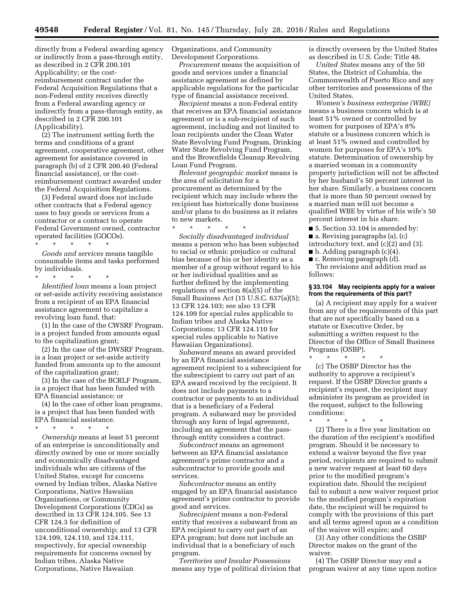directly from a Federal awarding agency or indirectly from a pass-through entity, as described in 2 CFR 200.101 Applicability; or the costreimbursement contract under the Federal Acquisition Regulations that a non-Federal entity receives directly from a Federal awarding agency or indirectly from a pass-through entity, as described in 2 CFR 200.101 (Applicability).

(2) The instrument setting forth the terms and conditions of a grant agreement, cooperative agreement, other agreement for assistance covered in paragraph (b) of 2 CFR 200.40 (Federal financial assistance), or the costreimbursement contract awarded under the Federal Acquisition Regulations.

(3) Federal award does not include other contracts that a Federal agency uses to buy goods or services from a contractor or a contract to operate Federal Government owned, contractor operated facilities (GOCOs).

\* \* \* \* \* *Goods and services* means tangible consumable items and tasks performed by individuals.

\* \* \* \* \* *Identified loan* means a loan project or set-aside activity receiving assistance from a recipient of an EPA financial assistance agreement to capitalize a revolving loan fund, that:

(1) In the case of the CWSRF Program, is a project funded from amounts equal to the capitalization grant;

(2) In the case of the DWSRF Program, is a loan project or set-aside activity funded from amounts up to the amount of the capitalization grant;

(3) In the case of the BCRLF Program, is a project that has been funded with EPA financial assistance; or

(4) In the case of other loan programs, is a project that has been funded with EPA financial assistance.

\* \* \* \* \*

*Ownership* means at least 51 percent of an enterprise is unconditionally and directly owned by one or more socially and economically disadvantaged individuals who are citizens of the United States, except for concerns owned by Indian tribes, Alaska Native Corporations, Native Hawaiian Organizations, or Community Development Corporations (CDCs) as described in 13 CFR 124.105. See 13 CFR 124.3 for definition of unconditional ownership; and 13 CFR 124.109, 124.110, and 124.111, respectively, for special ownership requirements for concerns owned by Indian tribes, Alaska Native Corporations, Native Hawaiian

Organizations, and Community Development Corporations.

*Procurement* means the acquisition of goods and services under a financial assistance agreement as defined by applicable regulations for the particular type of financial assistance received.

*Recipient* means a non-Federal entity that receives an EPA financial assistance agreement or is a sub-recipient of such agreement, including and not limited to loan recipients under the Clean Water State Revolving Fund Program, Drinking Water State Revolving Fund Program, and the Brownfields Cleanup Revolving Loan Fund Program.

*Relevant geographic market* means is the area of solicitation for a procurement as determined by the recipient which may include where the recipient has historically done business and/or plans to do business as it relates to new markets.

\* \* \* \* \* *Socially disadvantaged individual*  means a person who has been subjected to racial or ethnic prejudice or cultural bias because of his or her identity as a member of a group without regard to his or her individual qualities and as further defined by the implementing regulations of section 8(a)(5) of the Small Business Act (15 U.S.C. 637(a)(5); 13 CFR 124.103; see also 13 CFR 124.109 for special rules applicable to Indian tribes and Alaska Native Corporations; 13 CFR 124.110 for special rules applicable to Native Hawaiian Organizations).

*Subaward* means an award provided by an EPA financial assistance agreement recipient to a subrecipient for the subrecipient to carry out part of an EPA award received by the recipient. It does not include payments to a contractor or payments to an individual that is a beneficiary of a Federal program. A subaward may be provided through any form of legal agreement, including an agreement that the passthrough entity considers a contract.

*Subcontract* means an agreement between an EPA financial assistance agreement's prime contractor and a subcontractor to provide goods and services.

*Subcontractor* means an entity engaged by an EPA financial assistance agreement's prime contractor to provide good and services.

*Subrecipient* means a non-Federal entity that receives a subaward from an EPA recipient to carry out part of an EPA program; but does not include an individual that is a beneficiary of such program.

*Territories and Insular Possessions*  means any type of political division that is directly overseen by the United States as described in U.S. Code: Title 48.

*United States* means any of the 50 States, the District of Columbia, the Commonwealth of Puerto Rico and any other territories and possessions of the United States.

*Women's business enterprise (WBE)*  means a business concern which is at least 51% owned or controlled by women for purposes of EPA's 8% statute or a business concern which is at least 51% owned and controlled by women for purposes for EPA's 10% statute. Determination of ownership by a married woman in a community property jurisdiction will not be affected by her husband's 50 percent interest in her share. Similarly, a business concern that is more than 50 percent owned by a married man will not become a qualified WBE by virtue of his wife's 50 percent interest in his share.

- 5. Section 33.104 is amended by:
- $\blacksquare$  a. Revising paragraphs (a), (c)
- introductory text, and (c)(2) and (3).
- $\blacksquare$  b. Adding paragraph (c)(4).
- c. Removing paragraph (d).

The revisions and addition read as follows:

#### **§ 33.104 May recipients apply for a waiver from the requirements of this part?**

(a) A recipient may apply for a waiver from any of the requirements of this part that are not specifically based on a statute or Executive Order, by submitting a written request to the Director of the Office of Small Business Programs (OSBP).

\* \* \* \* \* (c) The OSBP Director has the authority to approve a recipient's request. If the OSBP Director grants a recipient's request, the recipient may administer its program as provided in the request, subject to the following conditions:

\* \* \* \* \* (2) There is a five year limitation on the duration of the recipient's modified program. Should it be necessary to extend a waiver beyond the five year period, recipients are required to submit a new waiver request at least 60 days prior to the modified program's expiration date. Should the recipient fail to submit a new waiver request prior to the modified program's expiration date, the recipient will be required to comply with the provisions of this part and all terms agreed upon as a condition of the waiver will expire; and

(3) Any other conditions the OSBP Director makes on the grant of the waiver.

(4) The OSBP Director may end a program waiver at any time upon notice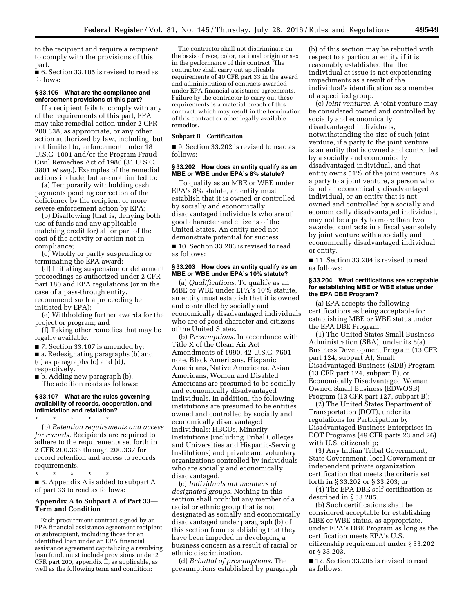to the recipient and require a recipient to comply with the provisions of this part.

■ 6. Section 33.105 is revised to read as follows:

#### **§ 33.105 What are the compliance and enforcement provisions of this part?**

If a recipient fails to comply with any of the requirements of this part, EPA may take remedial action under 2 CFR 200.338, as appropriate, or any other action authorized by law, including, but not limited to, enforcement under 18 U.S.C. 1001 and/or the Program Fraud Civil Remedies Act of 1986 (31 U.S.C. 3801 *et seq.*). Examples of the remedial actions include, but are not limited to:

(a) Temporarily withholding cash payments pending correction of the deficiency by the recipient or more severe enforcement action by EPA;

(b) Disallowing (that is, denying both use of funds and any applicable matching credit for) all or part of the cost of the activity or action not in compliance;

(c) Wholly or partly suspending or terminating the EPA award;

(d) Initiating suspension or debarment proceedings as authorized under 2 CFR part 180 and EPA regulations (or in the case of a pass-through entity, recommend such a proceeding be initiated by EPA);

(e) Withholding further awards for the project or program; and

(f) Taking other remedies that may be legally available.

■ 7. Section 33.107 is amended by:

■ a. Redesignating paragraphs (b) and

(c) as paragraphs (c) and (d),

respectively.

■ b. Adding new paragraph (b). The addition reads as follows:

#### **§ 33.107 What are the rules governing availability of records, cooperation, and intimidation and retaliation?**

\* \* \* \* \* (b) *Retention requirements and access for records.* Recipients are required to adhere to the requirements set forth in 2 CFR 200.333 through 200.337 for record retention and access to records requirements.

\* \* \* \* \* ■ 8. Appendix A is added to subpart A of part 33 to read as follows:

## **Appendix A to Subpart A of Part 33— Term and Condition**

Each procurement contract signed by an EPA financial assistance agreement recipient or subrecipient, including those for an identified loan under an EPA financial assistance agreement capitalizing a revolving loan fund, must include provisions under 2 CFR part 200, appendix  $\overline{\text{II}}$ , as applicable, as well as the following term and condition:

The contractor shall not discriminate on the basis of race, color, national origin or sex in the performance of this contract. The contractor shall carry out applicable requirements of 40 CFR part 33 in the award and administration of contracts awarded under EPA financial assistance agreements. Failure by the contractor to carry out these requirements is a material breach of this contract, which may result in the termination of this contract or other legally available remedies.

### **Subpart B—Certification**

■ 9. Section 33.202 is revised to read as follows:

### **§ 33.202 How does an entity qualify as an MBE or WBE under EPA's 8% statute?**

To qualify as an MBE or WBE under EPA's 8% statute, an entity must establish that it is owned or controlled by socially and economically disadvantaged individuals who are of good character and citizens of the United States. An entity need not demonstrate potential for success.

■ 10. Section 33.203 is revised to read as follows:

#### **§ 33.203 How does an entity qualify as an MBE or WBE under EPA's 10% statute?**

(a) *Qualifications.* To qualify as an MBE or WBE under EPA's 10% statute, an entity must establish that it is owned and controlled by socially and economically disadvantaged individuals who are of good character and citizens of the United States.

(b) *Presumptions.* In accordance with Title X of the Clean Air Act Amendments of 1990, 42 U.S.C. 7601 note, Black Americans, Hispanic Americans, Native Americans, Asian Americans, Women and Disabled Americans are presumed to be socially and economically disadvantaged individuals. In addition, the following institutions are presumed to be entities owned and controlled by socially and economically disadvantaged individuals: HBCUs, Minority Institutions (including Tribal Colleges and Universities and Hispanic-Serving Institutions) and private and voluntary organizations controlled by individuals who are socially and economically disadvantaged.

(c) *Individuals not members of designated groups.* Nothing in this section shall prohibit any member of a racial or ethnic group that is not designated as socially and economically disadvantaged under paragraph (b) of this section from establishing that they have been impeded in developing a business concern as a result of racial or ethnic discrimination.

(d) *Rebuttal of presumptions.* The presumptions established by paragraph

(b) of this section may be rebutted with respect to a particular entity if it is reasonably established that the individual at issue is not experiencing impediments as a result of the individual's identification as a member of a specified group.

(e) *Joint ventures.* A joint venture may be considered owned and controlled by socially and economically disadvantaged individuals, notwithstanding the size of such joint venture, if a party to the joint venture is an entity that is owned and controlled by a socially and economically disadvantaged individual, and that entity owns 51% of the joint venture. As a party to a joint venture, a person who is not an economically disadvantaged individual, or an entity that is not owned and controlled by a socially and economically disadvantaged individual, may not be a party to more than two awarded contracts in a fiscal year solely by joint venture with a socially and economically disadvantaged individual or entity.

■ 11. Section 33.204 is revised to read as follows:

### **§ 33.204 What certifications are acceptable for establishing MBE or WBE status under the EPA DBE Program?**

(a) EPA accepts the following certifications as being acceptable for establishing MBE or WBE status under the EPA DBE Program:

(1) The United States Small Business Administration (SBA), under its 8(a) Business Development Program (13 CFR part 124, subpart A), Small Disadvantaged Business (SDB) Program (13 CFR part 124, subpart B), or Economically Disadvantaged Woman Owned Small Business (EDWOSB) Program (13 CFR part 127, subpart B);

(2) The United States Department of Transportation (DOT), under its regulations for Participation by Disadvantaged Business Enterprises in DOT Programs (49 CFR parts 23 and 26) with U.S. citizenship;

(3) Any Indian Tribal Government, State Government, local Government or independent private organization certification that meets the criteria set forth in § 33.202 or § 33.203; or

(4) The EPA DBE self-certification as described in § 33.205.

(b) Such certifications shall be considered acceptable for establishing MBE or WBE status, as appropriate, under EPA's DBE Program as long as the certification meets EPA's U.S. citizenship requirement under § 33.202 or § 33.203.

■ 12. Section 33.205 is revised to read as follows: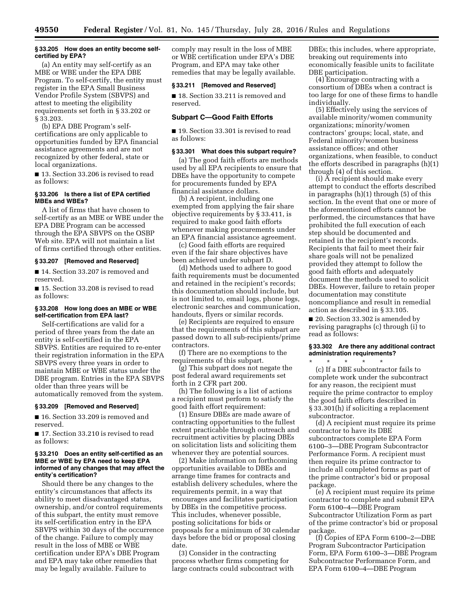#### **§ 33.205 How does an entity become selfcertified by EPA?**

(a) An entity may self-certify as an MBE or WBE under the EPA DBE Program. To self-certify, the entity must register in the EPA Small Business Vendor Profile System (SBVPS) and attest to meeting the eligibility requirements set forth in § 33.202 or § 33.203.

(b) EPA DBE Program's selfcertifications are only applicable to opportunities funded by EPA financial assistance agreements and are not recognized by other federal, state or local organizations.

■ 13. Section 33.206 is revised to read as follows:

## **§ 33.206 Is there a list of EPA certified MBEs and WBEs?**

A list of firms that have chosen to self-certify as an MBE or WBE under the EPA DBE Program can be accessed through the EPA SBVPS on the OSBP Web site. EPA will not maintain a list of firms certified through other entities.

#### **§ 33.207 [Removed and Reserved]**

■ 14. Section 33.207 is removed and reserved.

■ 15. Section 33.208 is revised to read as follows:

#### **§ 33.208 How long does an MBE or WBE self-certification from EPA last?**

Self-certifications are valid for a period of three years from the date an entity is self-certified in the EPA SBVPS. Entities are required to re-enter their registration information in the EPA SBVPS every three years in order to maintain MBE or WBE status under the DBE program. Entries in the EPA SBVPS older than three years will be automatically removed from the system.

## **§ 33.209 [Removed and Reserved]**

■ 16. Section 33.209 is removed and reserved.

■ 17. Section 33.210 is revised to read as follows:

#### **§ 33.210 Does an entity self-certified as an MBE or WBE by EPA need to keep EPA informed of any changes that may affect the entity's certification?**

Should there be any changes to the entity's circumstances that affects its ability to meet disadvantaged status, ownership, and/or control requirements of this subpart, the entity must remove its self-certification entry in the EPA SBVPS within 30 days of the occurrence of the change. Failure to comply may result in the loss of MBE or WBE certification under EPA's DBE Program and EPA may take other remedies that may be legally available. Failure to

comply may result in the loss of MBE or WBE certification under EPA's DBE Program, and EPA may take other remedies that may be legally available.

### **§ 33.211 [Removed and Reserved]**

■ 18. Section 33.211 is removed and reserved.

### **Subpart C—Good Faith Efforts**

■ 19. Section 33.301 is revised to read as follows:

### **§ 33.301 What does this subpart require?**

(a) The good faith efforts are methods used by all EPA recipients to ensure that DBEs have the opportunity to compete for procurements funded by EPA financial assistance dollars.

(b) A recipient, including one exempted from applying the fair share objective requirements by § 33.411, is required to make good faith efforts whenever making procurements under an EPA financial assistance agreement.

(c) Good faith efforts are required even if the fair share objectives have been achieved under subpart D.

(d) Methods used to adhere to good faith requirements must be documented and retained in the recipient's records; this documentation should include, but is not limited to, email logs, phone logs, electronic searches and communication, handouts, flyers or similar records.

(e) Recipients are required to ensure that the requirements of this subpart are passed down to all sub-recipients/prime contractors.

(f) There are no exemptions to the requirements of this subpart.

(g) This subpart does not negate the post federal award requirements set forth in 2 CFR part 200.

(h) The following is a list of actions a recipient must perform to satisfy the good faith effort requirement:

(1) Ensure DBEs are made aware of contracting opportunities to the fullest extent practicable through outreach and recruitment activities by placing DBEs on solicitation lists and soliciting them whenever they are potential sources.

(2) Make information on forthcoming opportunities available to DBEs and arrange time frames for contracts and establish delivery schedules, where the requirements permit, in a way that encourages and facilitates participation by DBEs in the competitive process. This includes, whenever possible, posting solicitations for bids or proposals for a minimum of 30 calendar days before the bid or proposal closing date.

(3) Consider in the contracting process whether firms competing for large contracts could subcontract with DBEs; this includes, where appropriate, breaking out requirements into economically feasible units to facilitate DBE participation.

(4) Encourage contracting with a consortium of DBEs when a contract is too large for one of these firms to handle individually.

(5) Effectively using the services of available minority/women community organizations; minority/women contractors' groups; local, state, and Federal minority/women business assistance offices; and other organizations, when feasible, to conduct the efforts described in paragraphs (h)(1) through (4) of this section.

(i) A recipient should make every attempt to conduct the efforts described in paragraphs (h)(1) through (5) of this section. In the event that one or more of the aforementioned efforts cannot be performed, the circumstances that have prohibited the full execution of each step should be documented and retained in the recipient's records. Recipients that fail to meet their fair share goals will not be penalized provided they attempt to follow the good faith efforts and adequately document the methods used to solicit DBEs. However, failure to retain proper documentation may constitute noncompliance and result in remedial action as described in § 33.105.

■ 20. Section 33.302 is amended by revising paragraphs (c) through (i) to read as follows:

#### **§ 33.302 Are there any additional contract administration requirements?**  \* \* \* \* \*

(c) If a DBE subcontractor fails to complete work under the subcontract for any reason, the recipient must require the prime contractor to employ the good faith efforts described in § 33.301(h) if soliciting a replacement subcontractor.

(d) A recipient must require its prime contractor to have its DBE subcontractors complete EPA Form 6100–3—DBE Program Subcontractor Performance Form. A recipient must then require its prime contractor to include all completed forms as part of the prime contractor's bid or proposal package.

(e) A recipient must require its prime contractor to complete and submit EPA Form 6100–4—DBE Program Subcontractor Utilization Form as part of the prime contractor's bid or proposal package.

(f) Copies of EPA Form 6100–2—DBE Program Subcontractor Participation Form, EPA Form 6100–3—DBE Program Subcontractor Performance Form, and EPA Form 6100–4—DBE Program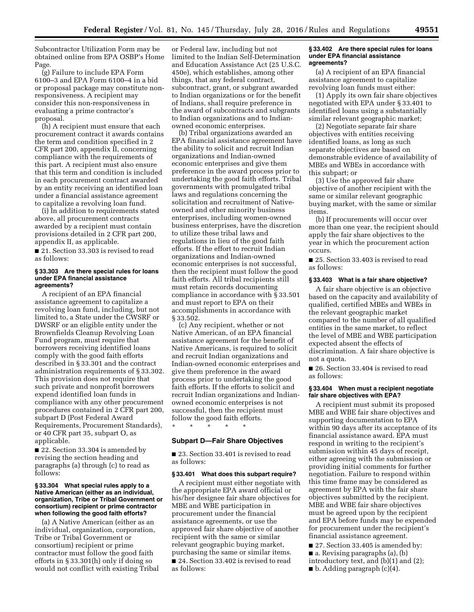Subcontractor Utilization Form may be obtained online from EPA OSBP's Home Page.

(g) Failure to include EPA Form 6100–3 and EPA Form 6100–4 in a bid or proposal package may constitute nonresponsiveness. A recipient may consider this non-responsiveness in evaluating a prime contractor's proposal.

(h) A recipient must ensure that each procurement contract it awards contains the term and condition specified in 2 CFR part 200, appendix II, concerning compliance with the requirements of this part. A recipient must also ensure that this term and condition is included in each procurement contract awarded by an entity receiving an identified loan under a financial assistance agreement to capitalize a revolving loan fund.

(i) In addition to requirements stated above, all procurement contracts awarded by a recipient must contain provisions detailed in 2 CFR part 200, appendix II, as applicable.

■ 21. Section 33.303 is revised to read as follows:

#### **§ 33.303 Are there special rules for loans under EPA financial assistance agreements?**

A recipient of an EPA financial assistance agreement to capitalize a revolving loan fund, including, but not limited to, a State under the CWSRF or DWSRF or an eligible entity under the Brownfields Cleanup Revolving Loan Fund program, must require that borrowers receiving identified loans comply with the good faith efforts described in § 33.301 and the contract administration requirements of § 33.302. This provision does not require that such private and nonprofit borrowers expend identified loan funds in compliance with any other procurement procedures contained in 2 CFR part 200, subpart D (Post Federal Award Requirements, Procurement Standards), or 40 CFR part 35, subpart O, as applicable.

■ 22. Section 33.304 is amended by revising the section heading and paragraphs (a) through (c) to read as follows:

### **§ 33.304 What special rules apply to a Native American (either as an individual, organization, Tribe or Tribal Government or consortium) recipient or prime contractor when following the good faith efforts?**

(a) A Native American (either as an individual, organization, corporation, Tribe or Tribal Government or consortium) recipient or prime contractor must follow the good faith efforts in § 33.301(h) only if doing so would not conflict with existing Tribal

or Federal law, including but not limited to the Indian Self-Determination and Education Assistance Act (25 U.S.C. 450e), which establishes, among other things, that any federal contract, subcontract, grant, or subgrant awarded to Indian organizations or for the benefit of Indians, shall require preference in the award of subcontracts and subgrants to Indian organizations and to Indianowned economic enterprises.

(b) Tribal organizations awarded an EPA financial assistance agreement have the ability to solicit and recruit Indian organizations and Indian-owned economic enterprises and give them preference in the award process prior to undertaking the good faith efforts. Tribal governments with promulgated tribal laws and regulations concerning the solicitation and recruitment of Nativeowned and other minority business enterprises, including women-owned business enterprises, have the discretion to utilize these tribal laws and regulations in lieu of the good faith efforts. If the effort to recruit Indian organizations and Indian-owned economic enterprises is not successful, then the recipient must follow the good faith efforts. All tribal recipients still must retain records documenting compliance in accordance with § 33.501 and must report to EPA on their accomplishments in accordance with § 33.502.

(c) Any recipient, whether or not Native American, of an EPA financial assistance agreement for the benefit of Native Americans, is required to solicit and recruit Indian organizations and Indian-owned economic enterprises and give them preference in the award process prior to undertaking the good faith efforts. If the efforts to solicit and recruit Indian organizations and Indianowned economic enterprises is not successful, then the recipient must follow the good faith efforts.

## **Subpart D—Fair Share Objectives**

\* \* \* \* \*

■ 23. Section 33.401 is revised to read as follows:

#### **§ 33.401 What does this subpart require?**

A recipient must either negotiate with the appropriate EPA award official or his/her designee fair share objectives for MBE and WBE participation in procurement under the financial assistance agreements, or use the approved fair share objective of another recipient with the same or similar relevant geographic buying market, purchasing the same or similar items. ■ 24. Section 33.402 is revised to read as follows:

#### **§ 33.402 Are there special rules for loans under EPA financial assistance agreements?**

(a) A recipient of an EPA financial assistance agreement to capitalize revolving loan funds must either:

(1) Apply its own fair share objectives negotiated with EPA under § 33.401 to identified loans using a substantially similar relevant geographic market;

(2) Negotiate separate fair share objectives with entities receiving identified loans, as long as such separate objectives are based on demonstrable evidence of availability of MBEs and WBEs in accordance with this subpart; or

(3) Use the approved fair share objective of another recipient with the same or similar relevant geographic buying market, with the same or similar items.

(b) If procurements will occur over more than one year, the recipient should apply the fair share objectives to the year in which the procurement action occurs.

■ 25. Section 33.403 is revised to read as follows:

## **§ 33.403 What is a fair share objective?**

A fair share objective is an objective based on the capacity and availability of qualified, certified MBEs and WBEs in the relevant geographic market compared to the number of all qualified entities in the same market, to reflect the level of MBE and WBE participation expected absent the effects of discrimination. A fair share objective is not a quota.

■ 26. Section 33.404 is revised to read as follows:

#### **§ 33.404 When must a recipient negotiate fair share objectives with EPA?**

A recipient must submit its proposed MBE and WBE fair share objectives and supporting documentation to EPA within 90 days after its acceptance of its financial assistance award. EPA must respond in writing to the recipient's submission within 45 days of receipt, either agreeing with the submission or providing initial comments for further negotiation. Failure to respond within this time frame may be considered as agreement by EPA with the fair share objectives submitted by the recipient. MBE and WBE fair share objectives must be agreed upon by the recipient and EPA before funds may be expended for procurement under the recipient's financial assistance agreement.

- 27. Section 33.405 is amended by:
- a. Revising paragraphs (a), (b)
- introductory text, and (b)(1) and (2);
- $\blacksquare$  b. Adding paragraph (c)(4).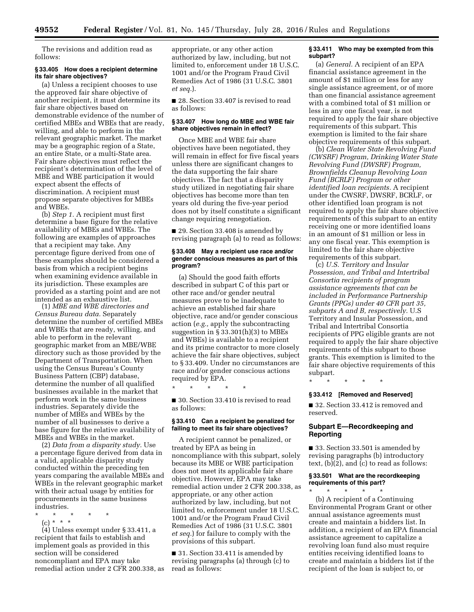The revisions and addition read as follows:

#### **§ 33.405 How does a recipient determine its fair share objectives?**

(a) Unless a recipient chooses to use the approved fair share objective of another recipient, it must determine its fair share objectives based on demonstrable evidence of the number of certified MBEs and WBEs that are ready, willing, and able to perform in the relevant geographic market. The market may be a geographic region of a State, an entire State, or a multi-State area. Fair share objectives must reflect the recipient's determination of the level of MBE and WBE participation it would expect absent the effects of discrimination. A recipient must propose separate objectives for MBEs and WBEs.

(b) *Step 1.* A recipient must first determine a base figure for the relative availability of MBEs and WBEs. The following are examples of approaches that a recipient may take. Any percentage figure derived from one of these examples should be considered a basis from which a recipient begins when examining evidence available in its jurisdiction. These examples are provided as a starting point and are not intended as an exhaustive list.

(1) *MBE and WBE directories and Census Bureau data.* Separately determine the number of certified MBEs and WBEs that are ready, willing, and able to perform in the relevant geographic market from an MBE/WBE directory such as those provided by the Department of Transportation. When using the Census Bureau's County Business Pattern (CBP) database, determine the number of all qualified businesses available in the market that perform work in the same business industries. Separately divide the number of MBEs and WBEs by the number of all businesses to derive a base figure for the relative availability of MBEs and WBEs in the market.

(2) *Data from a disparity study.* Use a percentage figure derived from data in a valid, applicable disparity study conducted within the preceding ten years comparing the available MBEs and WBEs in the relevant geographic market with their actual usage by entities for procurements in the same business industries.

- \* \* \* \* \*
	- (c) \* \* \*

(4) Unless exempt under § 33.411, a recipient that fails to establish and implement goals as provided in this section will be considered noncompliant and EPA may take remedial action under 2 CFR 200.338, as appropriate, or any other action authorized by law, including, but not limited to, enforcement under 18 U.S.C. 1001 and/or the Program Fraud Civil Remedies Act of 1986 (31 U.S.C. 3801 *et seq.*).

■ 28. Section 33.407 is revised to read as follows:

## **§ 33.407 How long do MBE and WBE fair share objectives remain in effect?**

Once MBE and WBE fair share objectives have been negotiated, they will remain in effect for five fiscal years unless there are significant changes to the data supporting the fair share objectives. The fact that a disparity study utilized in negotiating fair share objectives has become more than ten years old during the five-year period does not by itself constitute a significant change requiring renegotiation.

■ 29. Section 33.408 is amended by revising paragraph (a) to read as follows:

### **§ 33.408 May a recipient use race and/or gender conscious measures as part of this program?**

(a) Should the good faith efforts described in subpart C of this part or other race and/or gender neutral measures prove to be inadequate to achieve an established fair share objective, race and/or gender conscious action (*e.g.,* apply the subcontracting suggestion in § 33.301(h)(3) to MBEs and WBEs) is available to a recipient and its prime contractor to more closely achieve the fair share objectives, subject to § 33.409. Under no circumstances are race and/or gender conscious actions required by EPA.

\* \* \* \* \*

■ 30. Section 33.410 is revised to read as follows:

#### **§ 33.410 Can a recipient be penalized for failing to meet its fair share objectives?**

A recipient cannot be penalized, or treated by EPA as being in noncompliance with this subpart, solely because its MBE or WBE participation does not meet its applicable fair share objective. However, EPA may take remedial action under 2 CFR 200.338, as appropriate, or any other action authorized by law, including, but not limited to, enforcement under 18 U.S.C. 1001 and/or the Program Fraud Civil Remedies Act of 1986 (31 U.S.C. 3801 *et seq.*) for failure to comply with the provisions of this subpart.

■ 31. Section 33.411 is amended by revising paragraphs (a) through (c) to read as follows:

#### **§ 33.411 Who may be exempted from this subpart?**

(a) *General.* A recipient of an EPA financial assistance agreement in the amount of \$1 million or less for any single assistance agreement, or of more than one financial assistance agreement with a combined total of \$1 million or less in any one fiscal year, is not required to apply the fair share objective requirements of this subpart. This exemption is limited to the fair share objective requirements of this subpart.

(b) *Clean Water State Revolving Fund (CWSRF) Program, Drinking Water State Revolving Fund (DWSRF) Program, Brownfields Cleanup Revolving Loan Fund (BCRLF) Program or other identified loan recipients.* A recipient under the CWSRF, DWSRF, BCRLF, or other identified loan program is not required to apply the fair share objective requirements of this subpart to an entity receiving one or more identified loans in an amount of \$1 million or less in any one fiscal year. This exemption is limited to the fair share objective requirements of this subpart.

(c) *U.S. Territory and Insular Possession, and Tribal and Intertribal Consortia recipients of program assistance agreements that can be included in Performance Partnership Grants (PPGs) under 40 CFR part 35, subparts A and B, respectively.* U.S Territory and Insular Possession, and Tribal and Intertribal Consortia recipients of PPG eligible grants are not required to apply the fair share objective requirements of this subpart to those grants. This exemption is limited to the fair share objective requirements of this subpart.

\* \* \* \* \*

#### **§ 33.412 [Removed and Reserved]**

■ 32. Section 33.412 is removed and reserved.

### **Subpart E—Recordkeeping and Reporting**

■ 33. Section 33.501 is amended by revising paragraphs (b) introductory text, (b)(2), and (c) to read as follows:

#### **§ 33.501 What are the recordkeeping requirements of this part?**  \* \* \* \* \*

(b) A recipient of a Continuing Environmental Program Grant or other annual assistance agreements must create and maintain a bidders list. In addition, a recipient of an EPA financial assistance agreement to capitalize a revolving loan fund also must require entities receiving identified loans to create and maintain a bidders list if the recipient of the loan is subject to, or